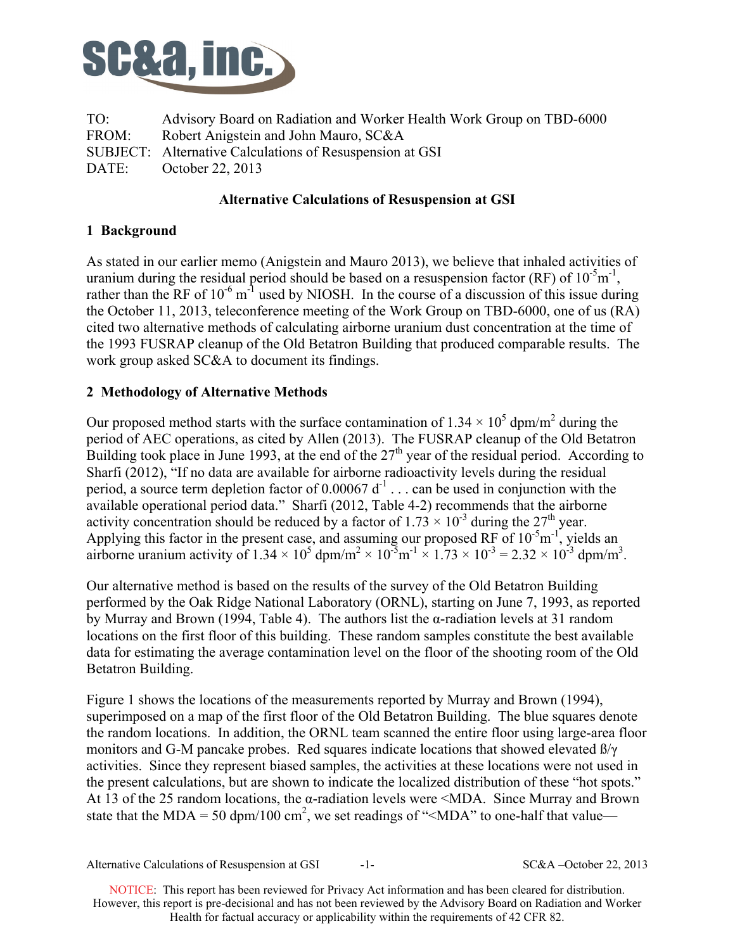

TO: Advisory Board on Radiation and Worker Health Work Group on TBD-6000 FROM: Robert Anigstein and John Mauro, SC&A SUBJECT: Alternative Calculations of Resuspension at GSI DATE: October 22, 2013

## **Alternative Calculations of Resuspension at GSI**

# **1 Background**

As stated in our earlier memo (Anigstein and Mauro 2013), we believe that inhaled activities of uranium during the residual period should be based on a resuspension factor (RF) of  $10^{-5}$ m<sup>-1</sup>, rather than the RF of  $10^{-6}$  m<sup>-1</sup> used by NIOSH. In the course of a discussion of this issue during the October 11, 2013, teleconference meeting of the Work Group on TBD-6000, one of us (RA) cited two alternative methods of calculating airborne uranium dust concentration at the time of the 1993 FUSRAP cleanup of the Old Betatron Building that produced comparable results. The work group asked SC&A to document its findings.

### **2 Methodology of Alternative Methods**

Our proposed method starts with the surface contamination of  $1.34 \times 10^5$  dpm/m<sup>2</sup> during the period of AEC operations, as cited by Allen (2013). The FUSRAP cleanup of the Old Betatron Building took place in June 1993, at the end of the  $27<sup>th</sup>$  year of the residual period. According to Sharfi  $(2012)$ , "If no data are available for airborne radioactivity levels during the residual period, a source term depletion factor of  $0.00067 d^{-1}$ ... can be used in conjunction with the available operational period data." Sharfi (2012, Table 4-2) recommends that the airborne activity concentration should be reduced by a factor of  $1.73 \times 10^{-3}$  during the  $27<sup>th</sup>$  year. Applying this factor in the present case, and assuming our proposed RF of  $10^{-5}$ m<sup>-1</sup>, yields an airborne uranium activity of  $1.34 \times 10^5$  dpm/m<sup>2</sup>  $\times 10^{-5}$ m<sup>-1</sup>  $\times 1.73 \times 10^{-3}$  = 2.32  $\times 10^{-3}$  dpm/m<sup>3</sup>.

Our alternative method is based on the results of the survey of the Old Betatron Building performed by the Oak Ridge National Laboratory (ORNL), starting on June 7, 1993, as reported by Murray and Brown (1994, Table 4). The authors list the α-radiation levels at 31 random locations on the first floor of this building. These random samples constitute the best available data for estimating the average contamination level on the floor of the shooting room of the Old Betatron Building.

Figure 1 shows the locations of the measurements reported by Murray and Brown (1994), superimposed on a map of the first floor of the Old Betatron Building. The blue squares denote the random locations. In addition, the ORNL team scanned the entire floor using large-area floor monitors and G-M pancake probes. Red squares indicate locations that showed elevated  $\beta/\gamma$ activities. Since they represent biased samples, the activities at these locations were not used in the present calculations, but are shown to indicate the localized distribution of these "hot spots." At 13 of the 25 random locations, the  $\alpha$ -radiation levels were  $\leq MDA$ . Since Murray and Brown state that the MDA = 50 dpm/100 cm<sup>2</sup>, we set readings of "<MDA" to one-half that value—

SC&A - October 22, 2013 Alternative Calculations of Resuspension at GSI -1-

 NOTICE: This report has been reviewed for Privacy Act information and has been cleared for distribution. However, this report is pre-decisional and has not been reviewed by the Advisory Board on Radiation and Worker Health for factual accuracy or applicability within the requirements of 42 CFR 82.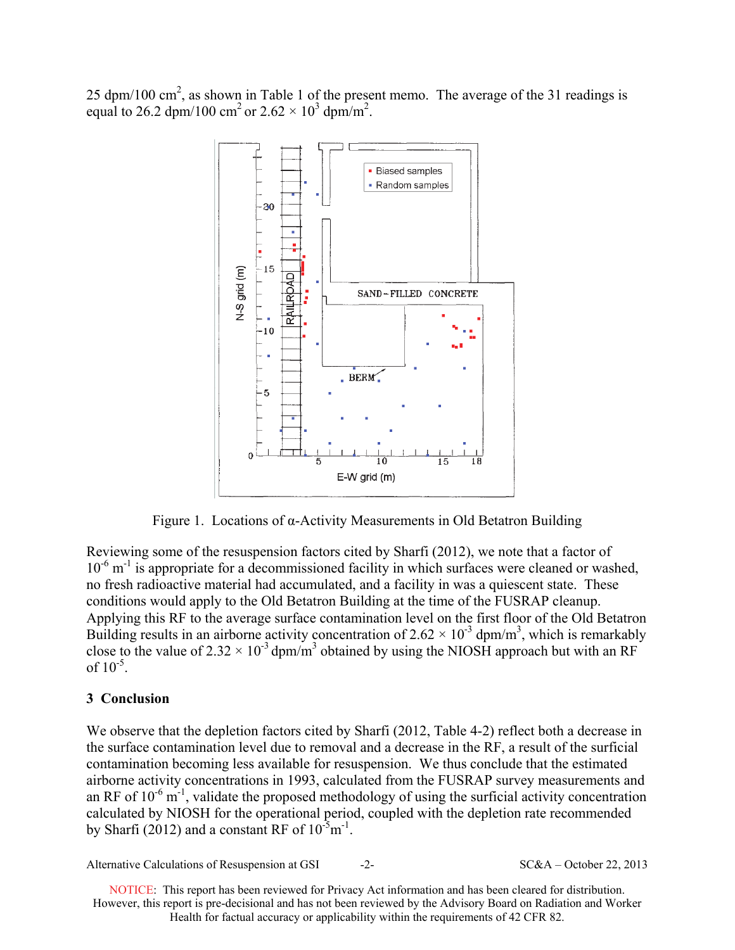25 dpm/100 cm<sup>2</sup>, as shown in Table 1 of the present memo. The average of the 31 readings is equal to 26.2 dpm/100 cm<sup>2</sup> or  $2.62 \times 10^3$  dpm/m<sup>2</sup>.



Figure 1. Locations of α-Activity Measurements in Old Betatron Building

Reviewing some of the resuspension factors cited by Sharfi (2012), we note that a factor of 10<sup>-6</sup> m<sup>-1</sup> is appropriate for a decommissioned facility in which surfaces were cleaned or washed, no fresh radioactive material had accumulated, and a facility in was a quiescent state. These conditions would apply to the Old Betatron Building at the time of the FUSRAP cleanup. Applying this RF to the average surface contamination level on the first floor of the Old Betatron Building results in an airborne activity concentration of  $2.62 \times 10^{-3}$  dpm/m<sup>3</sup>, which is remarkably close to the value of  $2.32 \times 10^{-3}$  dpm/m<sup>3</sup> obtained by using the NIOSH approach but with an RF of  $10^{-5}$ .

# **3 Conclusion**

We observe that the depletion factors cited by Sharfi (2012, Table 4-2) reflect both a decrease in the surface contamination level due to removal and a decrease in the RF, a result of the surficial contamination becoming less available for resuspension. We thus conclude that the estimated airborne activity concentrations in 1993, calculated from the FUSRAP survey measurements and an RF of  $10^{-6}$  m<sup>-1</sup>, validate the proposed methodology of using the surficial activity concentration calculated by NIOSH for the operational period, coupled with the depletion rate recommended by Sharfi (2012) and a constant RF of  $10^{-5}$ m<sup>-1</sup>.

Alternative Calculations of Resuspension at GSI  $-2-$  SC&A – October 22, 2013

 NOTICE: This report has been reviewed for Privacy Act information and has been cleared for distribution. However, this report is pre-decisional and has not been reviewed by the Advisory Board on Radiation and Worker Health for factual accuracy or applicability within the requirements of 42 CFR 82.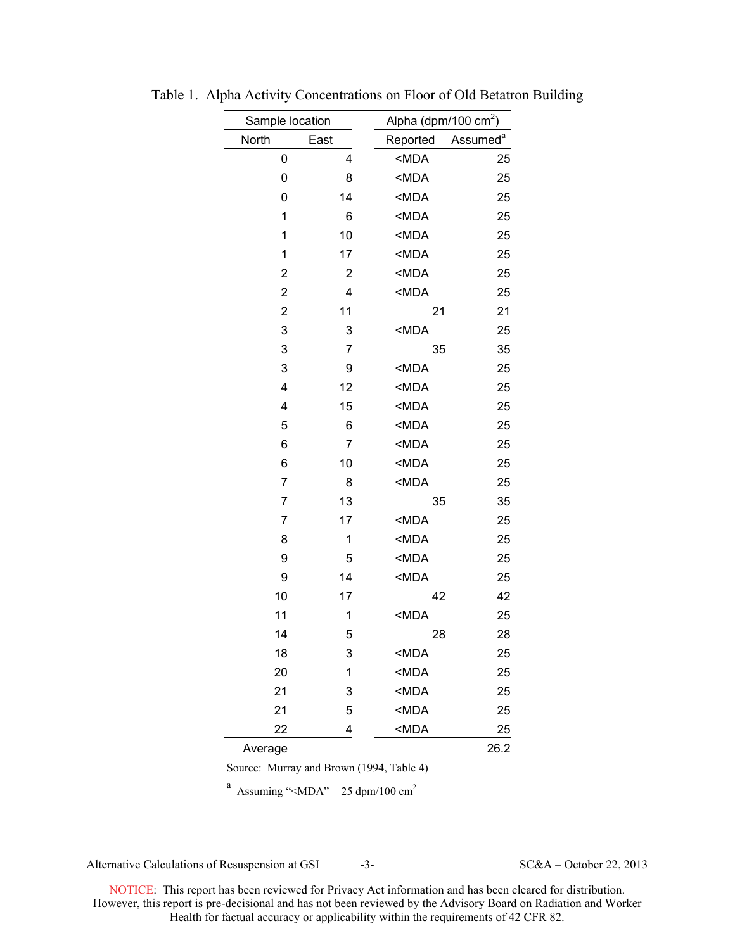| Sample location |                |                                | Alpha (dpm/100 $\text{cm}^2$ ) |  |
|-----------------|----------------|--------------------------------|--------------------------------|--|
| North           | East           | Reported                       | Assumed <sup>a</sup>           |  |
| 0               | 4              | $MDA$                          | 25                             |  |
| 0               | 8              | <mda< td=""><td>25</td></mda<> | 25                             |  |
| 0               | 14             | <mda< td=""><td>25</td></mda<> | 25                             |  |
| 1               | 6              | $MDA$                          | 25                             |  |
| 1               | 10             | <mda< td=""><td>25</td></mda<> | 25                             |  |
| 1               | 17             | $MDA$                          | 25                             |  |
| 2               | $\overline{2}$ | $MDA$                          | 25                             |  |
| 2               | 4              | <mda< td=""><td>25</td></mda<> | 25                             |  |
| $\overline{2}$  | 11             |                                | 21<br>21                       |  |
| 3               | 3              | <mda< td=""><td>25</td></mda<> | 25                             |  |
| 3               | 7              |                                | 35<br>35                       |  |
| 3               | 9              | <mda< td=""><td>25</td></mda<> | 25                             |  |
| 4               | 12             | <mda< td=""><td>25</td></mda<> | 25                             |  |
| 4               | 15             | $MDA$                          | 25                             |  |
| 5               | 6              | $MDA$                          | 25                             |  |
| 6               | $\overline{7}$ | $MDA$                          | 25                             |  |
| 6               | 10             | $MDA$                          | 25                             |  |
| 7               | 8              | $MDA$                          | 25                             |  |
| 7               | 13             |                                | 35<br>35                       |  |
| 7               | 17             | $MDA$                          | 25                             |  |
| 8               | 1              | <mda< td=""><td>25</td></mda<> | 25                             |  |
| 9               | 5              | $MDA$                          | 25                             |  |
| 9               | 14             | $MDA$                          | 25                             |  |
| 10              | 17             |                                | 42<br>42                       |  |
| 11              | 1              | $MDA$                          | 25                             |  |
| 14              | 5              |                                | 28<br>28                       |  |
| 18              | 3              | <mda< td=""><td>25</td></mda<> | 25                             |  |
| 20              | 1              | $MDA$                          | 25                             |  |
| 21              | 3              | $MDA$                          | 25                             |  |
| 21              | 5              | <mda< td=""><td>25</td></mda<> | 25                             |  |
| 22              | 4              | $MDA$                          | 25                             |  |
| Average         |                |                                | 26.2                           |  |

Table 1. Alpha Activity Concentrations on Floor of Old Betatron Building

Source: Murray and Brown (1994, Table 4)

<sup>a</sup> Assuming "<MDA" = 25 dpm/100 cm<sup>2</sup>

Alternative Calculations of Resuspension at GSI  $-3-$  SC&A – October 22, 2013

 NOTICE: This report has been reviewed for Privacy Act information and has been cleared for distribution. However, this report is pre-decisional and has not been reviewed by the Advisory Board on Radiation and Worker Health for factual accuracy or applicability within the requirements of 42 CFR 82.